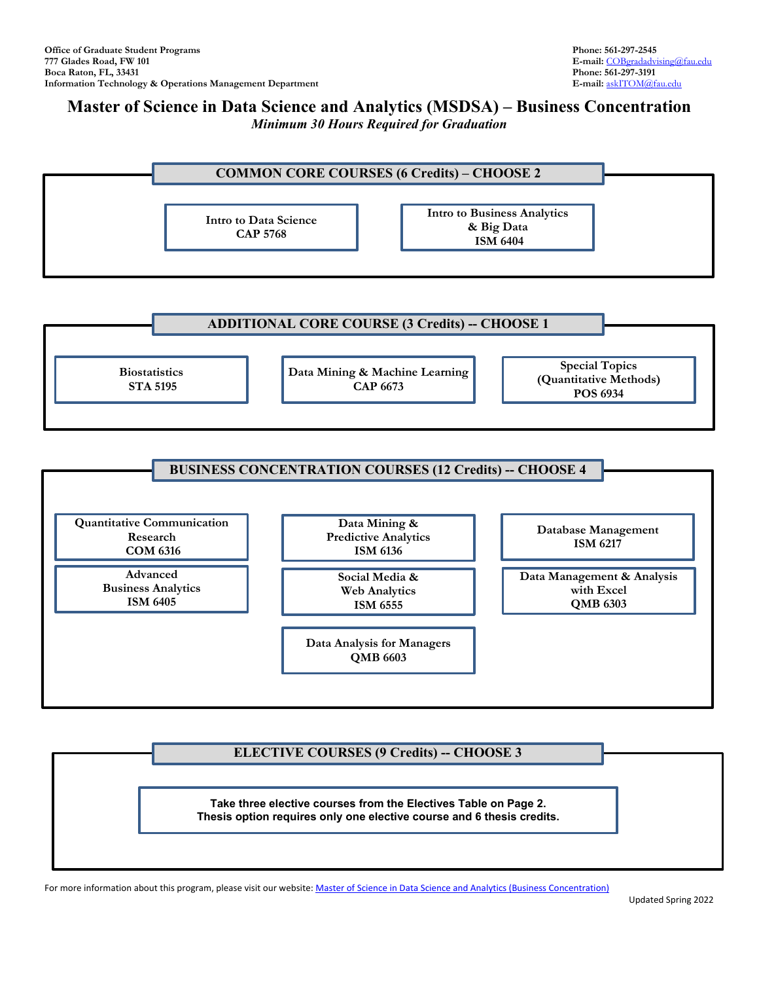## **Master of Science in Data Science and Analytics (MSDSA) – Business Concentration** *Minimum 30 Hours Required for Graduation*







## **ELECTIVE COURSES (9 Credits) -- CHOOSE 3**

**Take three elective courses from the Electives Table on Page 2. Thesis option requires only one elective course and 6 thesis credits.**

For more information about this program, please visit our website: Master of Science in Data Science and Analytics (Business Concentration)

Updated Spring 2022